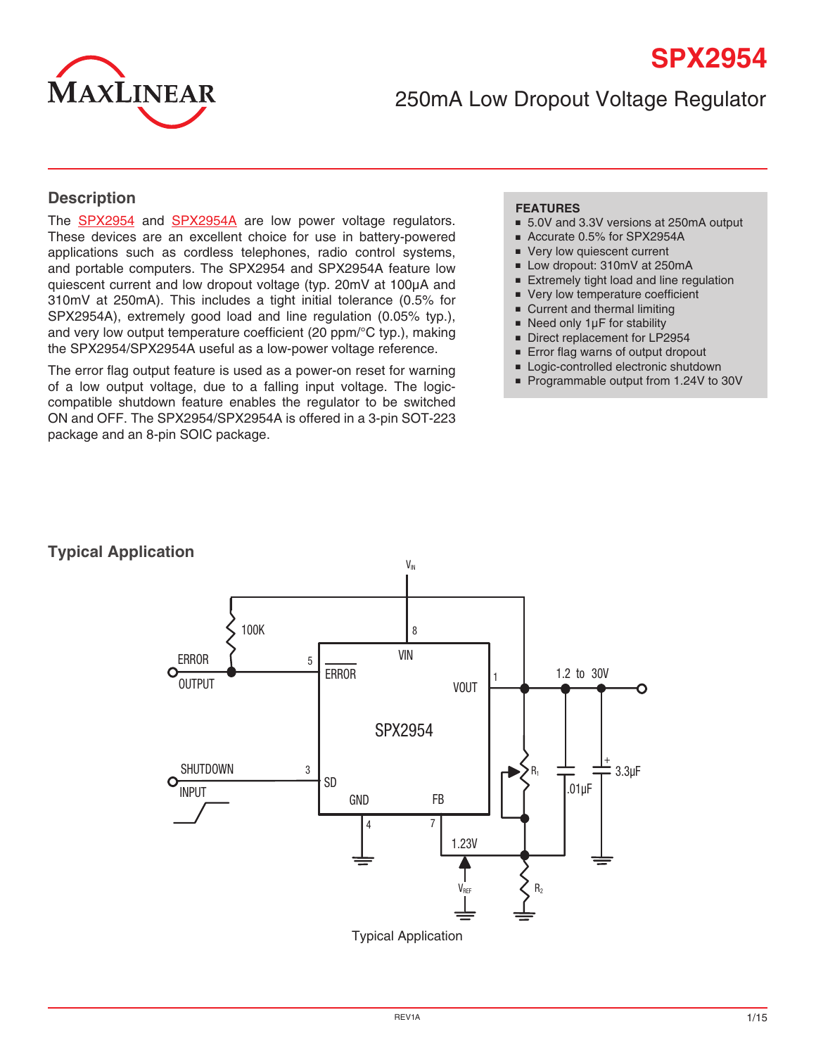

250mA Low Dropout Voltage Regulator

### **Description**

The **[SPX2954](http://www.exar.com/SPX2954)** and **SPX2954A** are low power voltage regulators. These devices are an excellent choice for use in battery-powered applications such as cordless telephones, radio control systems, and portable computers. The SPX2954 and SPX2954A feature low quiescent current and low dropout voltage (typ. 20mV at 100µA and 310mV at 250mA). This includes a tight initial tolerance (0.5% for SPX2954A), extremely good load and line regulation (0.05% typ.), and very low output temperature coefficient (20 ppm/°C typ.), making the SPX2954/SPX2954A useful as a low-power voltage reference.

The error flag output feature is used as a power-on reset for warning of a low output voltage, due to a falling input voltage. The logiccompatible shutdown feature enables the regulator to be switched ON and OFF. The SPX2954/SPX2954A is offered in a 3-pin SOT-223 package and an 8-pin SOIC package.

#### **FEATURES**

- 5.0V and 3.3V versions at 250mA output
- Accurate 0.5% for SPX2954A
- Very low quiescent current
- Low dropout: 310mV at 250mA
- Extremely tight load and line regulation
- Very low temperature coefficient
- Current and thermal limiting
- Need only 1µF for stability
- Direct replacement for LP2954
- Error flag warns of output dropout
- Logic-controlled electronic shutdown
- Programmable output from 1.24V to 30V

# **Typical Application**



Typical Application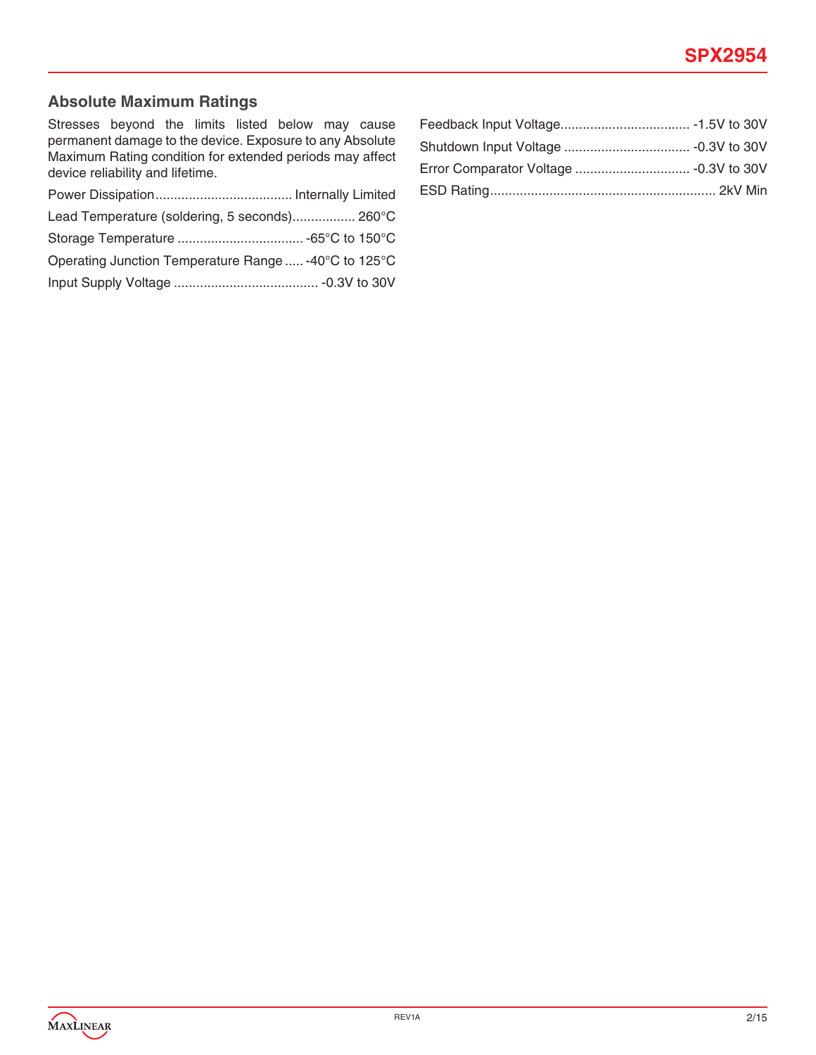# **Absolute Maximum Ratings**

Stresses beyond the limits listed below may cause permanent damage to the device. Exposure to any Absolute Maximum Rating condition for extended periods may affect device reliability and lifetime.

| Lead Temperature (soldering, 5 seconds) 260°C        |  |
|------------------------------------------------------|--|
|                                                      |  |
| Operating Junction Temperature Range  -40°C to 125°C |  |
|                                                      |  |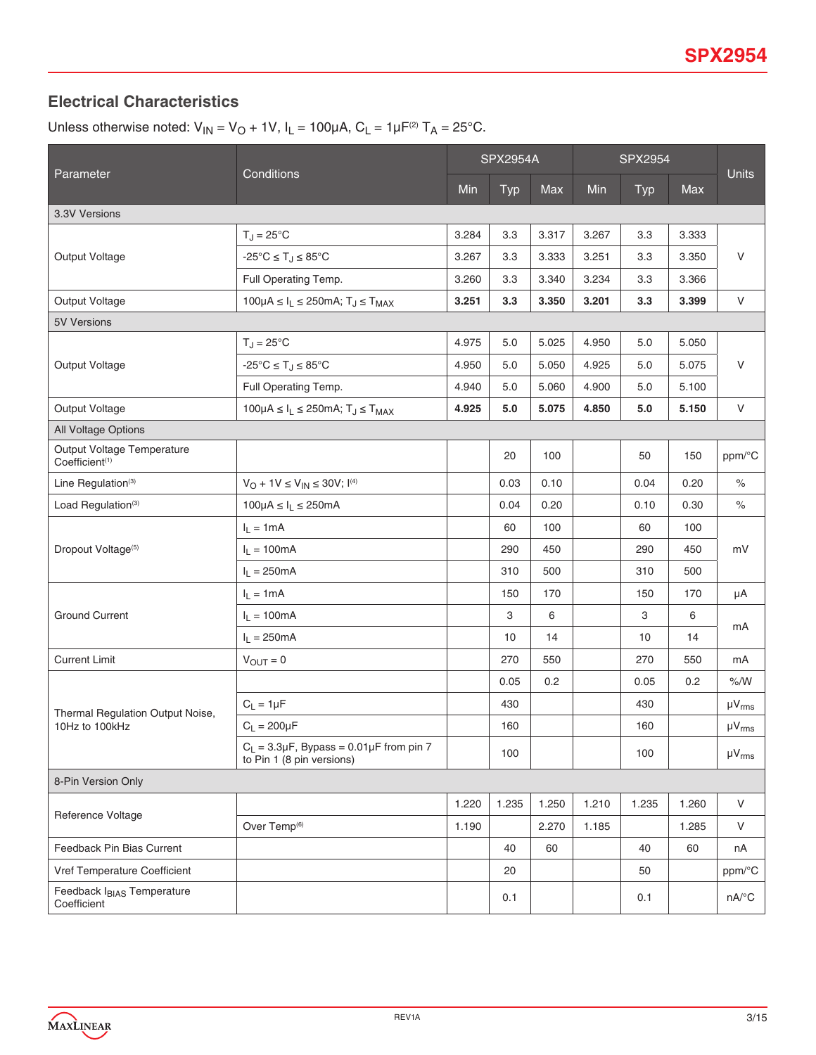# **Electrical Characteristics**

Unless otherwise noted:  $V_{IN} = V_O + 1V$ ,  $I_L = 100\mu A$ ,  $C_L = 1\mu F^{(2)} T_A = 25^{\circ}$ C.

|                                                          |                                                                         | <b>SPX2954A</b> |            |       | <b>SPX2954</b> |            |       |                     |  |
|----------------------------------------------------------|-------------------------------------------------------------------------|-----------------|------------|-------|----------------|------------|-------|---------------------|--|
| Parameter                                                | Conditions                                                              | Min             | <b>Typ</b> | Max   | Min            | <b>Typ</b> | Max   | <b>Units</b>        |  |
| 3.3V Versions                                            |                                                                         |                 |            |       |                |            |       |                     |  |
|                                                          | $T_J = 25^{\circ}C$                                                     | 3.284           | 3.3        | 3.317 | 3.267          | 3.3        | 3.333 | $\mathsf{V}$        |  |
| Output Voltage                                           | $-25^{\circ}C \leq T_J \leq 85^{\circ}C$                                | 3.267           | 3.3        | 3.333 | 3.251          | 3.3        | 3.350 |                     |  |
|                                                          | Full Operating Temp.                                                    | 3.260           | 3.3        | 3.340 | 3.234          | 3.3        | 3.366 |                     |  |
| Output Voltage                                           | $100\mu A \leq I_L \leq 250$ mA; T <sub>J</sub> $\leq$ T <sub>MAX</sub> | 3.251           | 3.3        | 3.350 | 3.201          | 3.3        | 3.399 | $\mathsf{V}$        |  |
| <b>5V Versions</b>                                       |                                                                         |                 |            |       |                |            |       |                     |  |
|                                                          | $T_J = 25^{\circ}C$                                                     | 4.975           | $5.0$      | 5.025 | 4.950          | 5.0        | 5.050 |                     |  |
| Output Voltage                                           | $-25^{\circ}C \leq T_J \leq 85^{\circ}C$                                | 4.950           | $5.0$      | 5.050 | 4.925          | $5.0$      | 5.075 | $\vee$              |  |
|                                                          | Full Operating Temp.                                                    | 4.940           | 5.0        | 5.060 | 4.900          | 5.0        | 5.100 |                     |  |
| Output Voltage                                           | 100µA $\leq I_L \leq$ 250mA; T <sub>J</sub> $\leq$ T <sub>MAX</sub>     | 4.925           | 5.0        | 5.075 | 4.850          | 5.0        | 5.150 | $\vee$              |  |
| All Voltage Options                                      |                                                                         |                 |            |       |                |            |       |                     |  |
| Output Voltage Temperature<br>Coefficient <sup>(1)</sup> |                                                                         |                 | 20         | 100   |                | 50         | 150   | ppm/°C              |  |
| Line Regulation <sup>(3)</sup>                           | $V_O$ + 1V $\leq$ $V_{IN}$ $\leq$ 30V; $I^{(4)}$                        |                 | 0.03       | 0.10  |                | 0.04       | 0.20  | %                   |  |
| Load Regulation <sup>(3)</sup>                           | $100\mu A \leq I_L \leq 250mA$                                          |                 | 0.04       | 0.20  |                | 0.10       | 0.30  | $\%$                |  |
| Dropout Voltage <sup>(5)</sup>                           | $I_L = 1mA$                                                             |                 | 60         | 100   |                | 60         | 100   |                     |  |
|                                                          | $I_L = 100mA$                                                           |                 | 290        | 450   |                | 290        | 450   | mV                  |  |
|                                                          | $I_L = 250mA$                                                           |                 | 310        | 500   |                | 310        | 500   |                     |  |
|                                                          | $I_L = 1mA$                                                             |                 | 150        | 170   |                | 150        | 170   | μA                  |  |
| <b>Ground Current</b>                                    | $I_L = 100mA$                                                           |                 | 3          | 6     |                | 3          | 6     | mA                  |  |
|                                                          | $I_L = 250mA$                                                           |                 | 10         | 14    |                | 10         | 14    |                     |  |
| <b>Current Limit</b>                                     | $V_{OUT} = 0$                                                           |                 | 270        | 550   |                | 270        | 550   | mA                  |  |
|                                                          |                                                                         |                 | 0.05       | 0.2   |                | 0.05       | 0.2   | % /W                |  |
| Thermal Regulation Output Noise,                         | $C_L = 1 \mu F$                                                         |                 | 430        |       |                | 430        |       | $\mu V_{rms}$       |  |
| 10Hz to 100kHz                                           | $C_L = 200 \mu F$                                                       |                 | 160        |       |                | 160        |       | $\mu V_{rms}$       |  |
|                                                          | $C_L$ = 3.3µF, Bypass = 0.01µF from pin 7<br>to Pin 1 (8 pin versions)  |                 | 100        |       |                | 100        |       | $\mu V_{rms}$       |  |
| 8-Pin Version Only                                       |                                                                         |                 |            |       |                |            |       |                     |  |
| Reference Voltage                                        |                                                                         | 1.220           | 1.235      | 1.250 | 1.210          | 1.235      | 1.260 | $\mathsf{V}$        |  |
|                                                          | Over Temp <sup>(6)</sup>                                                | 1.190           |            | 2.270 | 1.185          |            | 1.285 | $\vee$              |  |
| Feedback Pin Bias Current                                |                                                                         |                 | 40         | 60    |                | 40         | 60    | nA                  |  |
| Vref Temperature Coefficient                             |                                                                         |                 | 20         |       |                | 50         |       | ppm/°C              |  |
| Feedback I <sub>BIAS</sub> Temperature<br>Coefficient    |                                                                         |                 | 0.1        |       |                | 0.1        |       | $nA$ <sup>o</sup> C |  |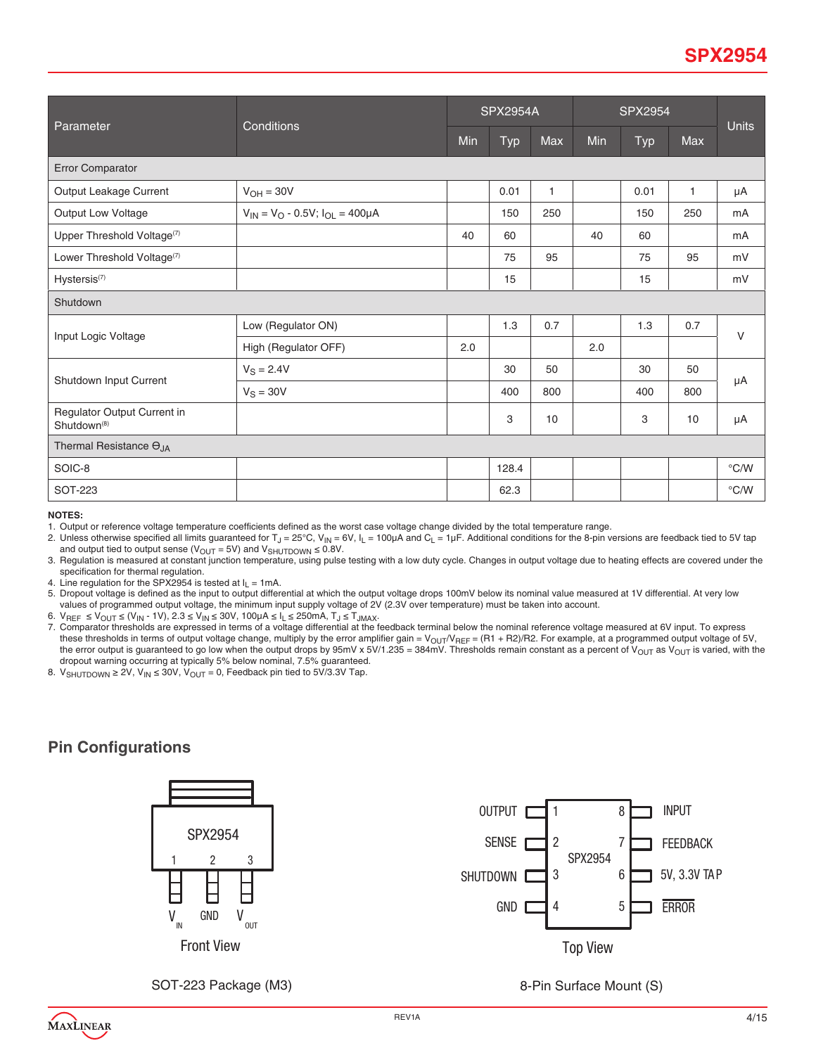| Parameter                                              | Conditions                                     | <b>SPX2954A</b> |            |              | <b>SPX2954</b> |            |              | <b>Units</b>  |  |
|--------------------------------------------------------|------------------------------------------------|-----------------|------------|--------------|----------------|------------|--------------|---------------|--|
|                                                        |                                                | Min             | <b>Typ</b> | Max          | Min            | <b>Typ</b> | Max          |               |  |
| Error Comparator                                       |                                                |                 |            |              |                |            |              |               |  |
| Output Leakage Current                                 | $V_{OH} = 30V$                                 |                 | 0.01       | $\mathbf{1}$ |                | 0.01       | $\mathbf{1}$ | μA            |  |
| Output Low Voltage                                     | $V_{IN} = V_{O} - 0.5V$ ; $I_{OL} = 400 \mu A$ |                 | 150        | 250          |                | 150        | 250          | mA            |  |
| Upper Threshold Voltage(7)                             |                                                | 40              | 60         |              | 40             | 60         |              | mA            |  |
| Lower Threshold Voltage(7)                             |                                                |                 | 75         | 95           |                | 75         | 95           | mV            |  |
| Hystersis <sup>(7)</sup>                               |                                                |                 | 15         |              |                | 15         |              | mV            |  |
| Shutdown                                               |                                                |                 |            |              |                |            |              |               |  |
|                                                        | Low (Regulator ON)                             |                 | 1.3        | 0.7          |                | 1.3        | 0.7          | $\vee$        |  |
| Input Logic Voltage                                    | High (Regulator OFF)                           | 2.0             |            |              | 2.0            |            |              |               |  |
|                                                        | $V_S = 2.4V$                                   |                 | 30         | 50           |                | 30         | 50           | $\mu A$       |  |
| Shutdown Input Current                                 | $V_S = 30V$                                    |                 | 400        | 800          |                | 400        | 800          |               |  |
| Regulator Output Current in<br>Shutdown <sup>(8)</sup> |                                                |                 | 3          | 10           |                | 3          | 10           | $\mu A$       |  |
| Thermal Resistance O <sub>JA</sub>                     |                                                |                 |            |              |                |            |              |               |  |
| SOIC-8                                                 |                                                |                 | 128.4      |              |                |            |              | $\degree$ C/W |  |
| SOT-223                                                |                                                |                 | 62.3       |              |                |            |              | $\degree$ C/W |  |

**NOTES:** 

1. Output or reference voltage temperature coefficients defined as the worst case voltage change divided by the total temperature range.

2. Unless otherwise specified all limits guaranteed for T<sub>J</sub> = 25°C, V<sub>IN</sub> = 6V, I<sub>L</sub> = 100µA and C<sub>L</sub> = 1µF. Additional conditions for the 8-pin versions are feedback tied to 5V tap and output tied to output sense ( $V_{\text{OUT}} = 5V$ ) and  $V_{\text{SHUTDOWN}} \le 0.8V$ .

3. Regulation is measured at constant junction temperature, using pulse testing with a low duty cycle. Changes in output voltage due to heating effects are covered under the specification for thermal regulation.

4. Line regulation for the SPX2954 is tested at  $I_L = 1 \text{mA}$ .

5. Dropout voltage is defined as the input to output differential at which the output voltage drops 100mV below its nominal value measured at 1V differential. At very low values of programmed output voltage, the minimum input supply voltage of 2V (2.3V over temperature) must be taken into account.

6. V<sub>REF</sub> ≤ V<sub>OUT</sub> ≤ (V<sub>IN</sub> - 1V), 2.3 ≤ V<sub>IN</sub> ≤ 30V, 100μA ≤ I<sub>L</sub> ≤ 250mA, T」≤ T<sub>JMAX</sub>.<br>7. Comparator thresholds are expressed in terms of a voltage differential at the feedback terminal below the nominal reference vol these thresholds in terms of output voltage change, multiply by the error amplifier gain =  $V_{OUT}/V_{REF}$  = (R1 + R2)/R2. For example, at a programmed output voltage of 5V, the error output is guaranteed to go low when the output drops by 95mV x 5V/1.235 = 384mV. Thresholds remain constant as a percent of V<sub>OUT</sub> as V<sub>OUT</sub> is varied, with the dropout warning occurring at typically 5% below nominal, 7.5% guaranteed.

8.  $V_{SHUTDOWN} \ge 2V$ ,  $V_{IN} \le 30V$ ,  $V_{OUT} = 0$ , Feedback pin tied to 5V/3.3V Tap.

# **Pin Configurations**





SOT-223 Package (M3) 8-Pin Surface Mount (S)

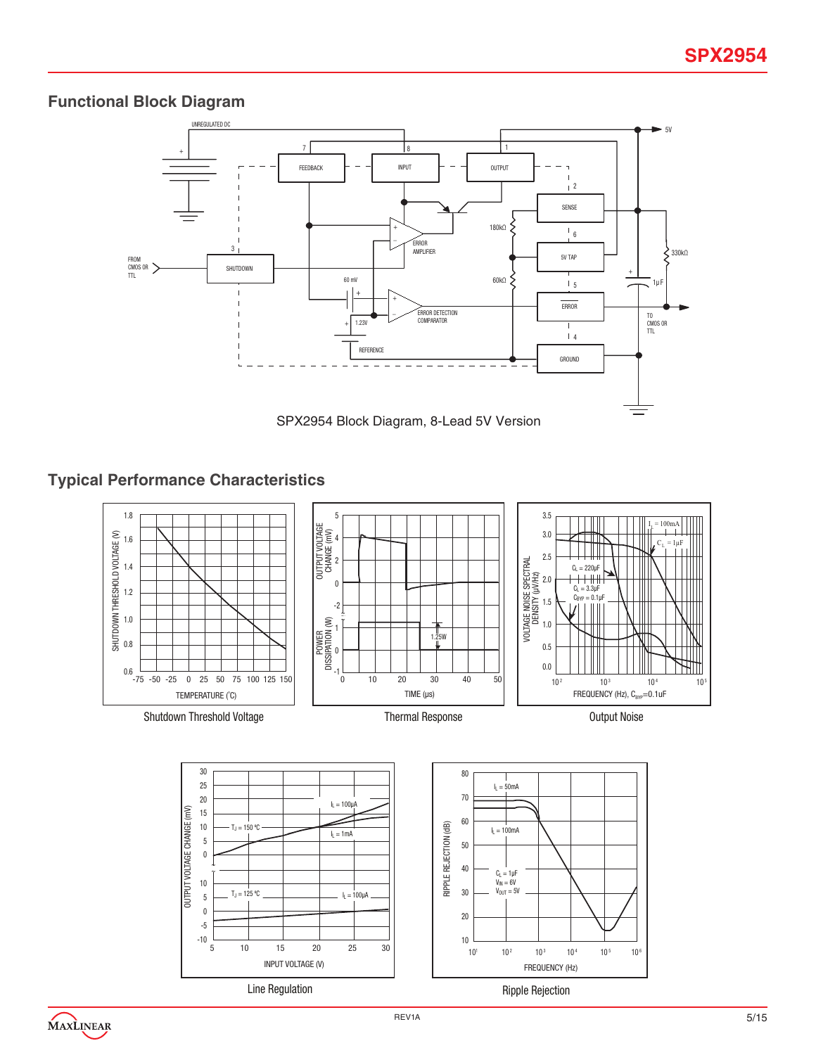# **Functional Block Diagram**



# **Typical Performance Characteristics**



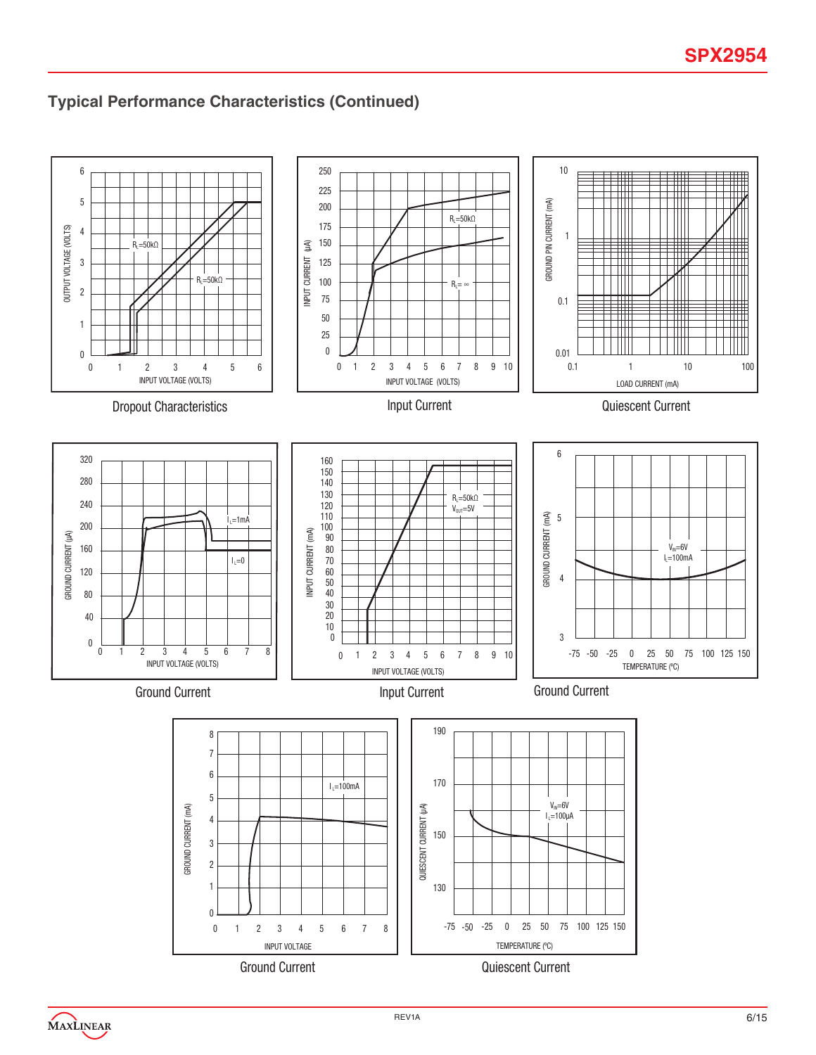# **Typical Performance Characteristics (Continued)**

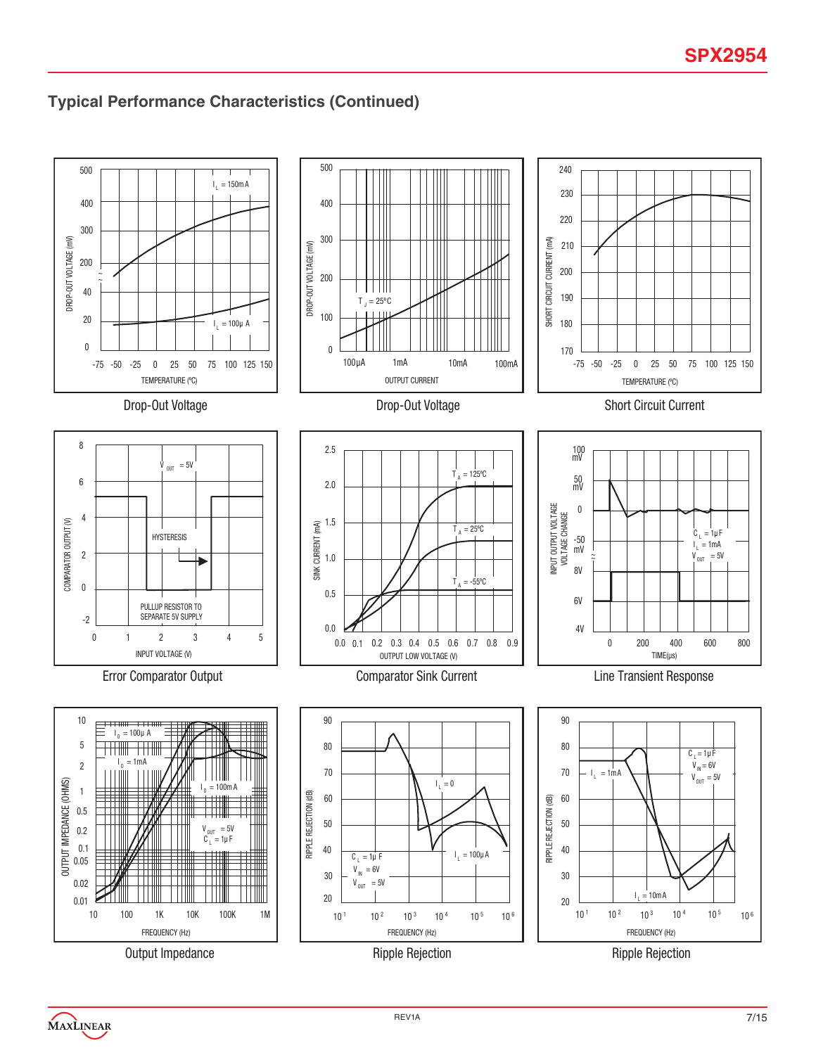# **Typical Performance Characteristics (Continued)**



Output Impedance

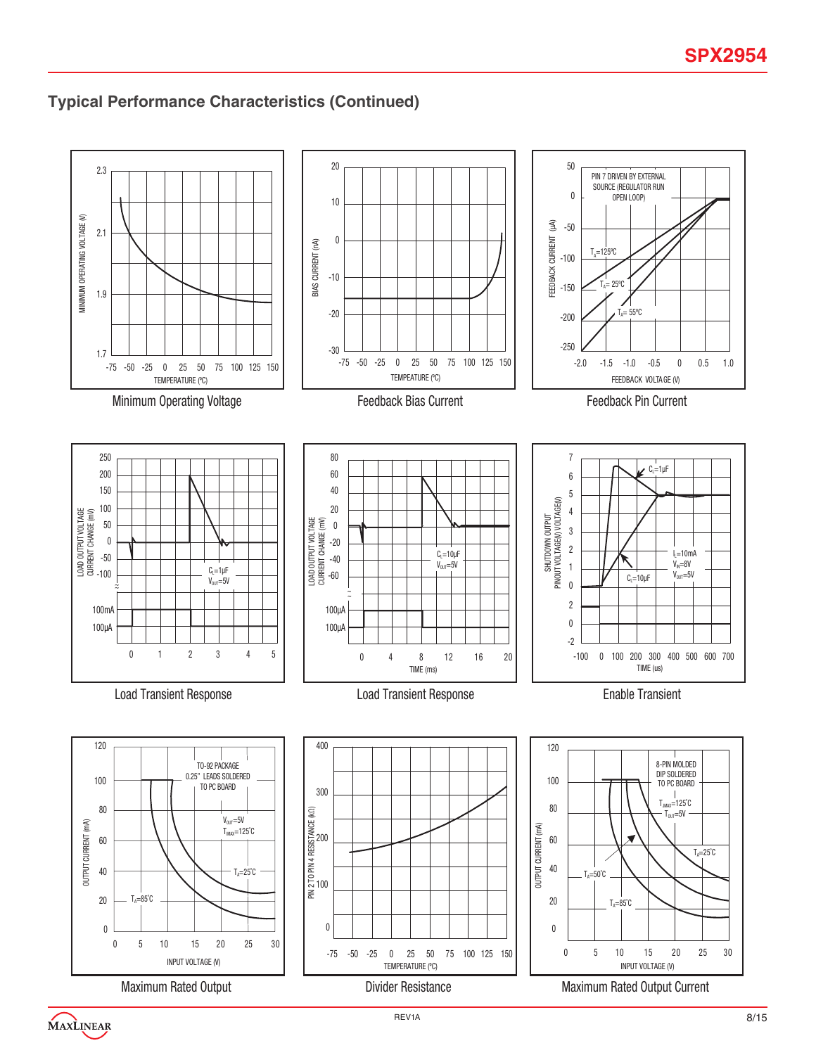# **Typical Performance Characteristics (Continued)**

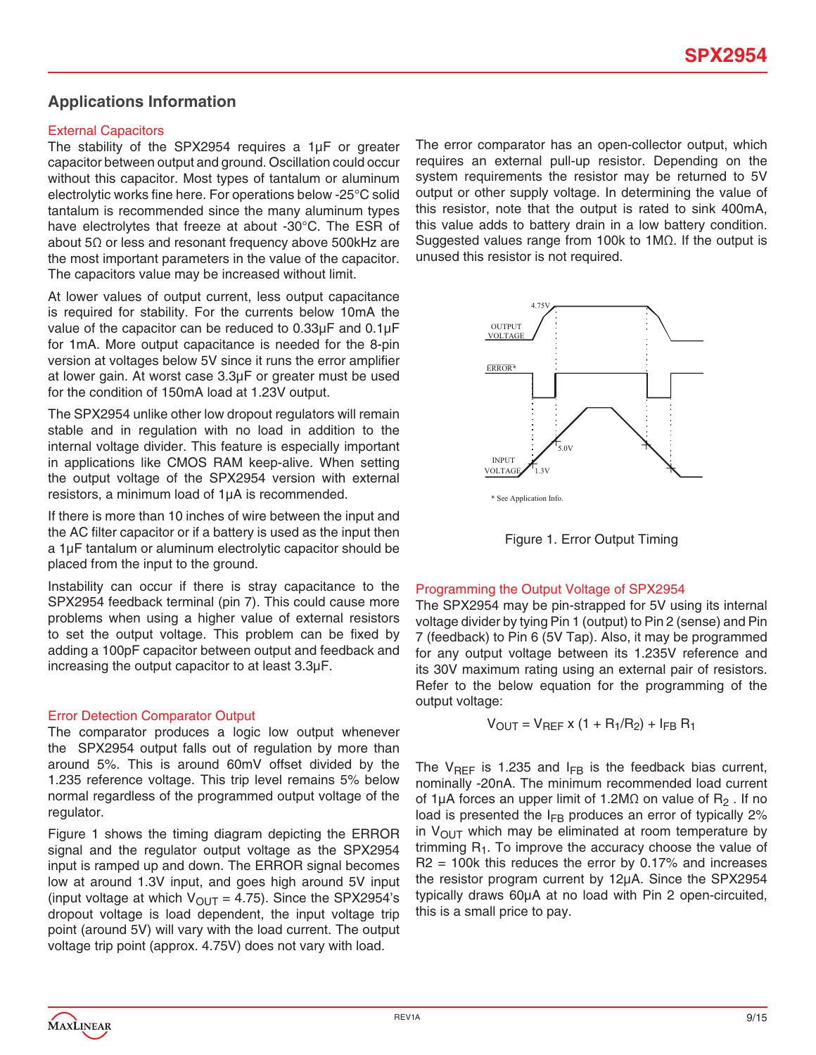### **Applications Information**

### External Capacitors

The stability of the SPX2954 requires a 1µF or greater capacitor between output and ground. Oscillation could occur without this capacitor. Most types of tantalum or aluminum electrolytic works fine here. For operations below -25°C solid tantalum is recommended since the many aluminum types have electrolytes that freeze at about -30°C. The ESR of about 5Ω or less and resonant frequency above 500kHz are the most important parameters in the value of the capacitor. The capacitors value may be increased without limit.

At lower values of output current, less output capacitance is required for stability. For the currents below 10mA the value of the capacitor can be reduced to 0.33µF and 0.1µF for 1mA. More output capacitance is needed for the 8-pin version at voltages below 5V since it runs the error amplifier at lower gain. At worst case 3.3µF or greater must be used for the condition of 150mA load at 1.23V output.

The SPX2954 unlike other low dropout regulators will remain stable and in regulation with no load in addition to the internal voltage divider. This feature is especially important in applications like CMOS RAM keep-alive. When setting the output voltage of the SPX2954 version with external resistors, a minimum load of 1µA is recommended.

If there is more than 10 inches of wire between the input and the AC filter capacitor or if a battery is used as the input then a 1µF tantalum or aluminum electrolytic capacitor should be placed from the input to the ground.

Instability can occur if there is stray capacitance to the SPX2954 feedback terminal (pin 7). This could cause more problems when using a higher value of external resistors to set the output voltage. This problem can be fixed by adding a 100pF capacitor between output and feedback and increasing the output capacitor to at least 3.3µF.

### Error Detection Comparator Output

The comparator produces a logic low output whenever the SPX2954 output falls out of regulation by more than around 5%. This is around 60mV offset divided by the 1.235 reference voltage. This trip level remains 5% below normal regardless of the programmed output voltage of the regulator.

Figure 1 shows the timing diagram depicting the ERROR signal and the regulator output voltage as the SPX2954 input is ramped up and down. The ERROR signal becomes low at around 1.3V input, and goes high around 5V input (input voltage at which  $V_{\text{OUT}} = 4.75$ ). Since the SPX2954's dropout voltage is load dependent, the input voltage trip point (around 5V) will vary with the load current. The output voltage trip point (approx. 4.75V) does not vary with load.

The error comparator has an open-collector output, which requires an external pull-up resistor. Depending on the system requirements the resistor may be returned to 5V output or other supply voltage. In determining the value of this resistor, note that the output is rated to sink 400mA, this value adds to battery drain in a low battery condition. Suggested values range from 100k to 1MΩ. If the output is unused this resistor is not required.



Figure 1. Error Output Timing

### Programming the Output Voltage of SPX2954

The SPX2954 may be pin-strapped for 5V using its internal voltage divider by tying Pin 1 (output) to Pin 2 (sense) and Pin 7 (feedback) to Pin 6 (5V Tap). Also, it may be programmed for any output voltage between its 1.235V reference and its 30V maximum rating using an external pair of resistors. Refer to the below equation for the programming of the output voltage:

$$
V_{OUT} = V_{REF} \times (1 + R_1/R_2) + I_{FB} R_1
$$

The  $V_{REF}$  is 1.235 and  $I_{FB}$  is the feedback bias current, nominally -20nA. The minimum recommended load current of 1µA forces an upper limit of 1.2M $\Omega$  on value of R<sub>2</sub>. If no load is presented the  $I_{FB}$  produces an error of typically 2% in  $V_{\text{OUT}}$  which may be eliminated at room temperature by trimming  $R_1$ . To improve the accuracy choose the value of  $R2 = 100k$  this reduces the error by 0.17% and increases the resistor program current by 12µA. Since the SPX2954 typically draws 60µA at no load with Pin 2 open-circuited, this is a small price to pay.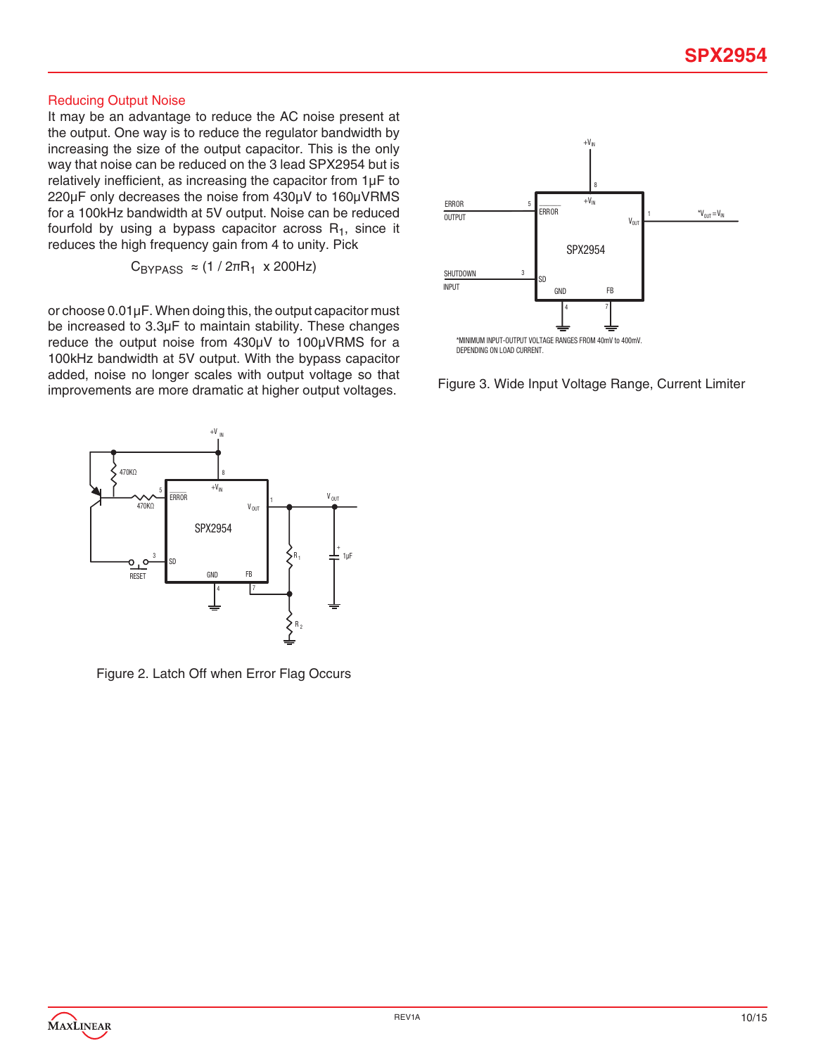#### Reducing Output Noise

It may be an advantage to reduce the AC noise present at the output. One way is to reduce the regulator bandwidth by increasing the size of the output capacitor. This is the only way that noise can be reduced on the 3 lead SPX2954 but is relatively inefficient, as increasing the capacitor from 1µF to 220µF only decreases the noise from 430µV to 160µVRMS for a 100kHz bandwidth at 5V output. Noise can be reduced fourfold by using a bypass capacitor across  $R_1$ , since it reduces the high frequency gain from 4 to unity. Pick

 $C_{BYPASS} \approx (1/2\pi R_1 \times 200 Hz)$ 

or choose 0.01µF. When doing this, the output capacitor must be increased to 3.3µF to maintain stability. These changes reduce the output noise from 430µV to 100µVRMS for a 100kHz bandwidth at 5V output. With the bypass capacitor added, noise no longer scales with output voltage so that improvements are more dramatic at higher output voltages.



Figure 3. Wide Input Voltage Range, Current Limiter



Figure 2. Latch Off when Error Flag Occurs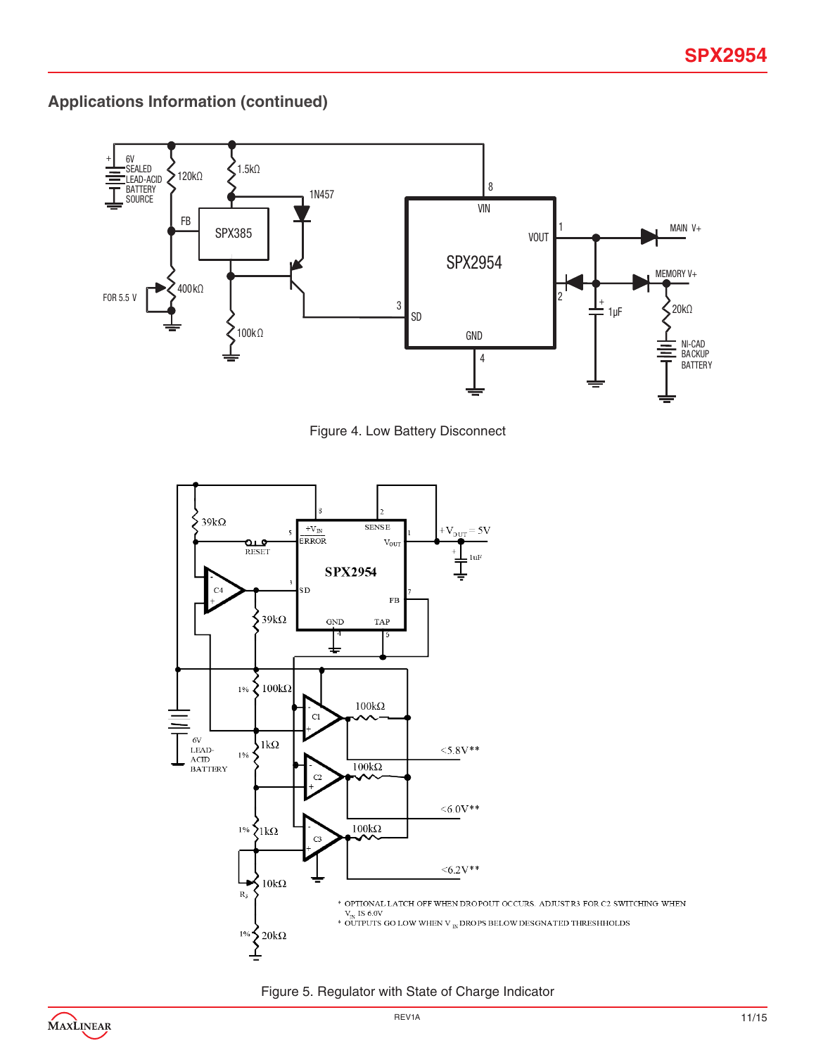**Applications Information (continued)**



Figure 4. Low Battery Disconnect





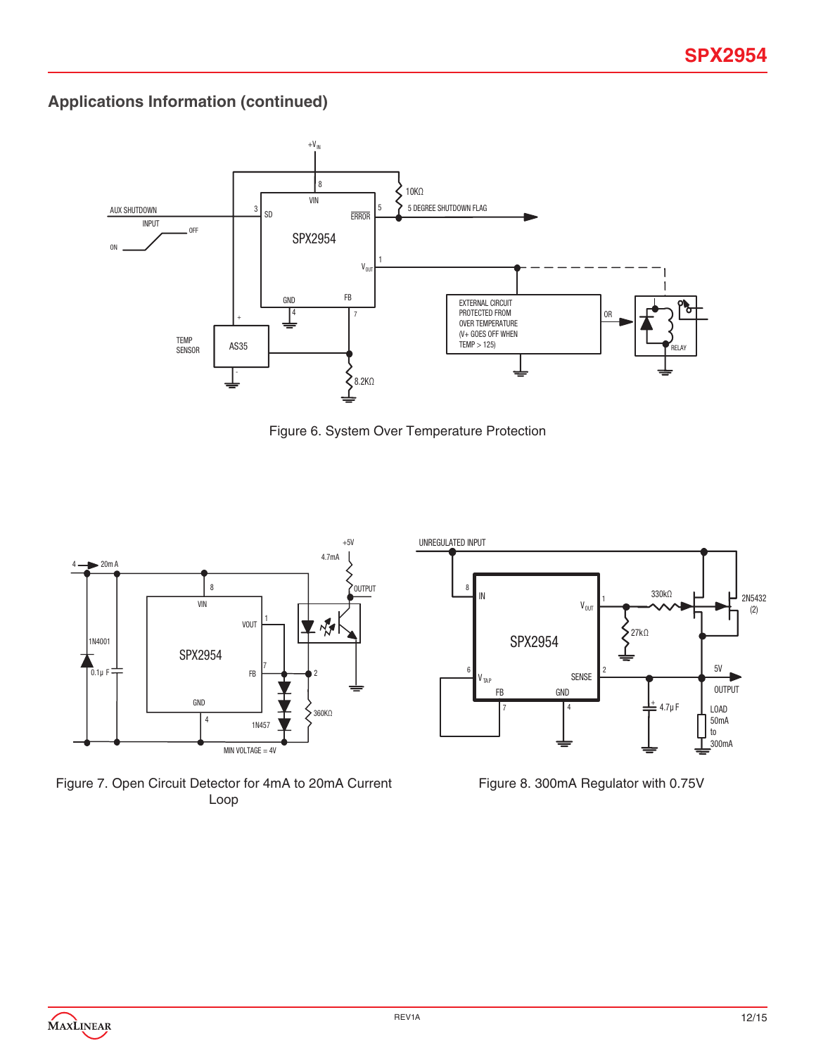**Applications Information (continued)**



Figure 6. System Over Temperature Protection



Figure 7. Open Circuit Detector for 4mA to 20mA Current Loop

Figure 8. 300mA Regulator with 0.75V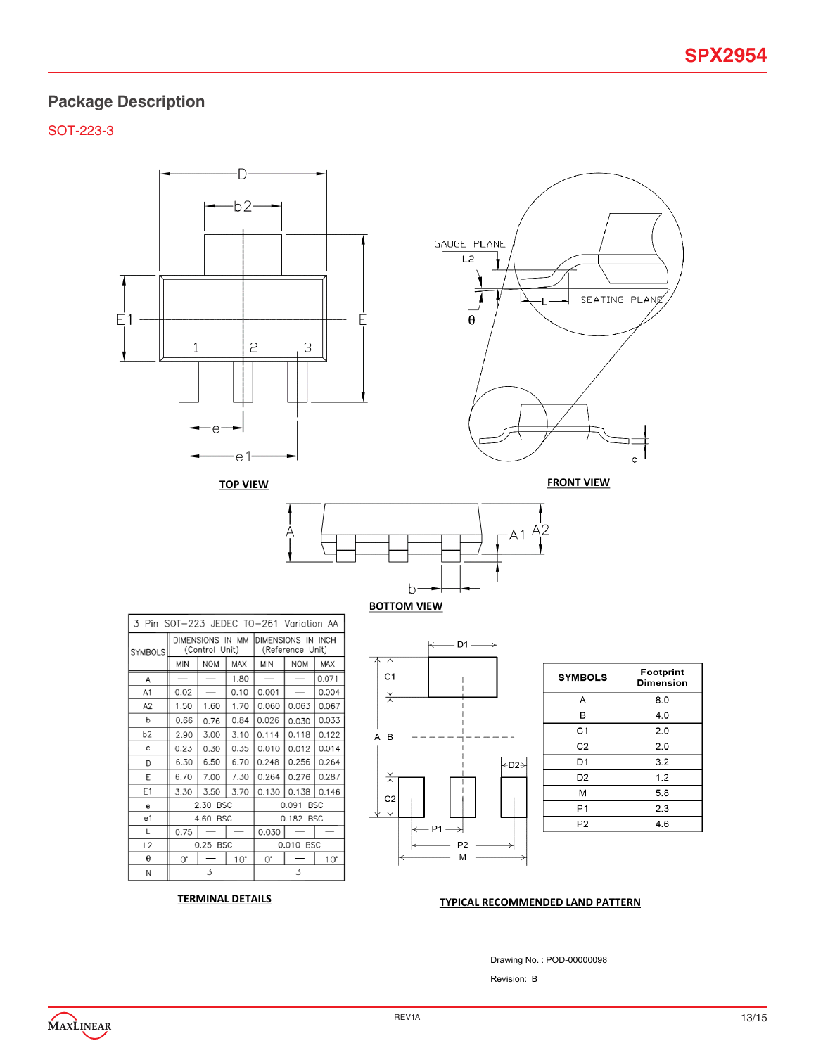## **Package Description**

SOT-223-3



### **TERMINAL DETAILS RECOMMENDED LAND PATTERN**

Drawing No. : POD-00000098

Revision: B

MAXLINEAR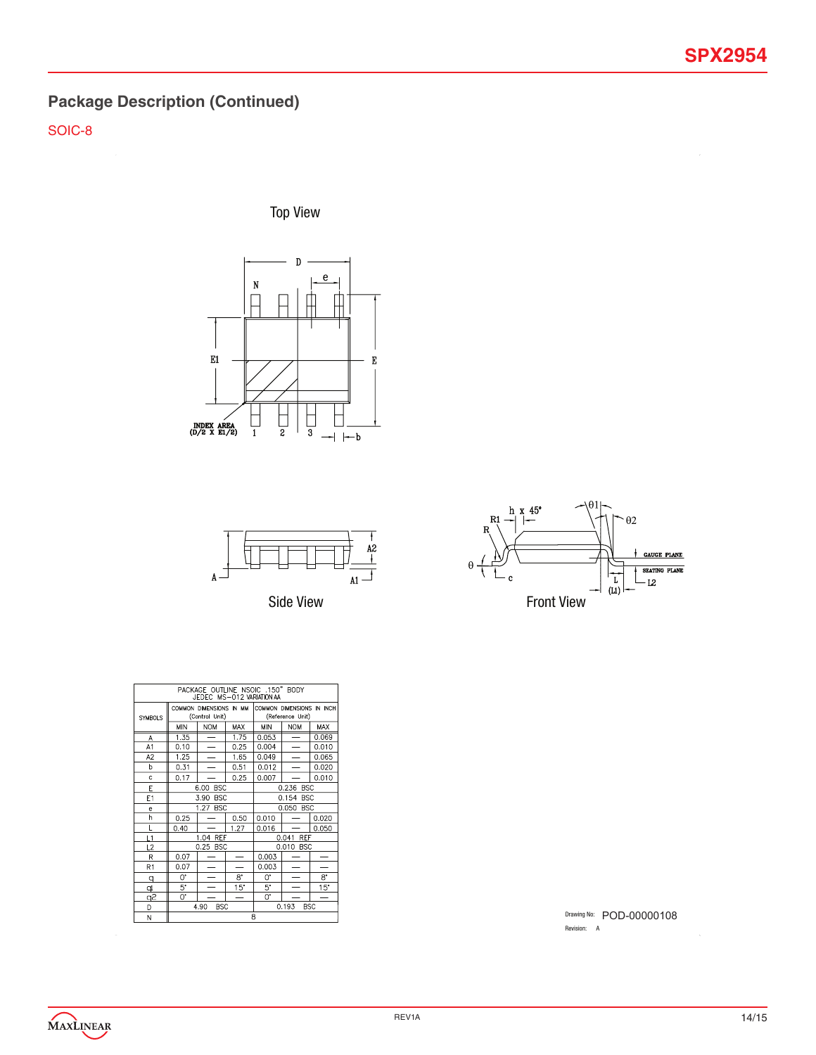# **Package Description (Continued)**

SOIC-8

Top View





Side View



| PACKAGE OUTLINE NSOIC .150" BODY |                                                                        |            |             |                  |            |             |  |
|----------------------------------|------------------------------------------------------------------------|------------|-------------|------------------|------------|-------------|--|
| JEDEC MS-012 VARIATION AA        |                                                                        |            |             |                  |            |             |  |
|                                  | COMMON DIMENSIONS IN INCH<br>COMMON DIMENSIONS IN MM<br>(Control Unit) |            |             |                  |            |             |  |
| <b>SYMBOLS</b>                   |                                                                        |            |             | (Reference Unit) |            |             |  |
|                                  | <b>MIN</b>                                                             | <b>NOM</b> | MAX         | MIN              | <b>NOM</b> | MAX         |  |
| Α                                | 1.35                                                                   | -          | 1.75        | 0.053            | -          | 0.069       |  |
| A1                               | 0.10                                                                   |            | 0.25        | 0.004            |            | 0.010       |  |
| A <sub>2</sub>                   | 1.25                                                                   |            | 1.65        | 0.049            |            | 0.065       |  |
| b                                | 0.31                                                                   |            | 0.51        | 0.012            |            | 0.020       |  |
| Ċ                                | 0.17                                                                   |            | 0.25        | 0.007            |            | 0.010       |  |
| E                                | <b>BSC</b><br>0.236 BSC<br>6.00                                        |            |             |                  |            |             |  |
| E1                               | 3.90<br><b>BSC</b>                                                     |            |             | 0.154 BSC        |            |             |  |
| e                                |                                                                        | 1.27 BSC   |             | 0.050 BSC        |            |             |  |
| h                                | 0.25                                                                   |            | 0.50        | 0.010            |            | 0.020       |  |
| Ĺ                                | 0.40                                                                   |            | 1.27        | 0.016            |            | 0.050       |  |
| L1                               |                                                                        | 1.04 REF   |             |                  | 0.041 REF  |             |  |
| L2                               |                                                                        | 0.25 BSC   |             | 0.010 BSC        |            |             |  |
| R                                | 0.07                                                                   |            |             | 0.003            |            |             |  |
| R <sub>1</sub>                   | 0.07                                                                   |            |             | 0.003            |            |             |  |
| q                                | 0.                                                                     |            | $8^{\circ}$ | U.               |            | $8^{\circ}$ |  |
| d                                | 5*                                                                     |            | $15^\circ$  | 5.               |            | 15"         |  |
| 92                               | 0.                                                                     |            |             | Ü.               |            |             |  |
| D                                | 0.193<br><b>BSC</b><br><b>BSC</b><br>4.90                              |            |             |                  |            |             |  |
| N                                | 8                                                                      |            |             |                  |            |             |  |

Drawing No: POD-00000108 Revision: A